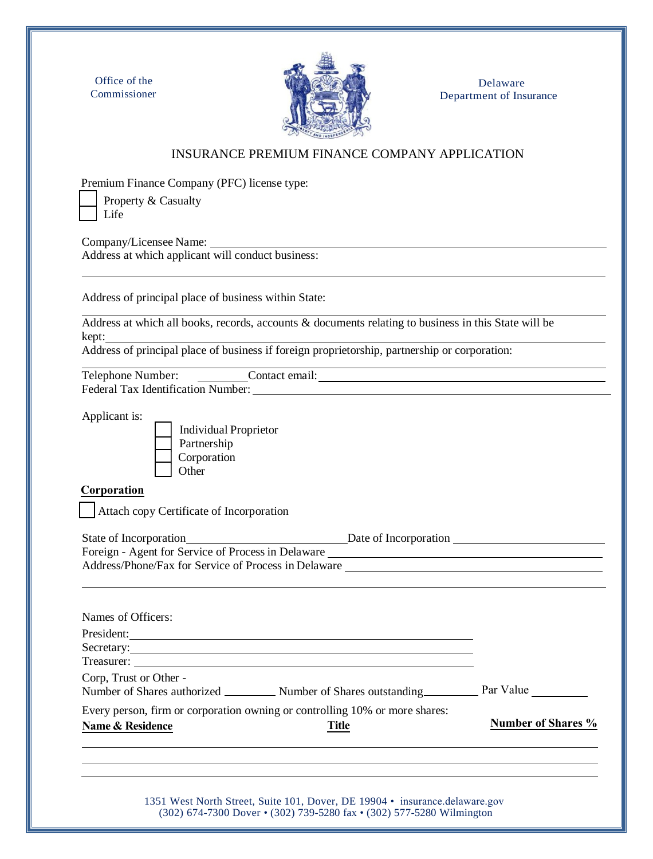Office of the Commissioner



Delaware Department of Insurance

## INSURANCE PREMIUM FINANCE COMPANY APPLICATION

Premium Finance Company (PFC) license type:

 Property & Casualty Life

Company/Licensee Name: Address at which applicant will conduct business:

Address of principal place of business within State:

Address at which all books, records, accounts & documents relating to business in this State will be kept:

Address of principal place of business if foreign proprietorship, partnership or corporation:

Telephone Number: Contact email: Contact email: Federal Tax Identification Number:

Applicant is:



 Individual Proprietor Partnership Corporation **Other** 

## **Corporation**

Attach copy Certificate of Incorporation

| State of Incorporation                               | Date of Incorporation |  |
|------------------------------------------------------|-----------------------|--|
| Foreign - Agent for Service of Process in Delaware   |                       |  |
| Address/Phone/Fax for Service of Process in Delaware |                       |  |
|                                                      |                       |  |

| Names of Officers:                                                                                              |                           |
|-----------------------------------------------------------------------------------------------------------------|---------------------------|
| President:                                                                                                      |                           |
|                                                                                                                 |                           |
|                                                                                                                 |                           |
| Corp, Trust or Other -                                                                                          |                           |
| Every person, firm or corporation owning or controlling 10% or more shares:<br>Name & Residence<br><b>Title</b> | <b>Number of Shares %</b> |
|                                                                                                                 |                           |

1351 West North Street, Suite 101, Dover, DE 19904 • insurance.delaware.gov (302) 674-7300 Dover • (302) 739-5280 fax • (302) 577-5280 Wilmington